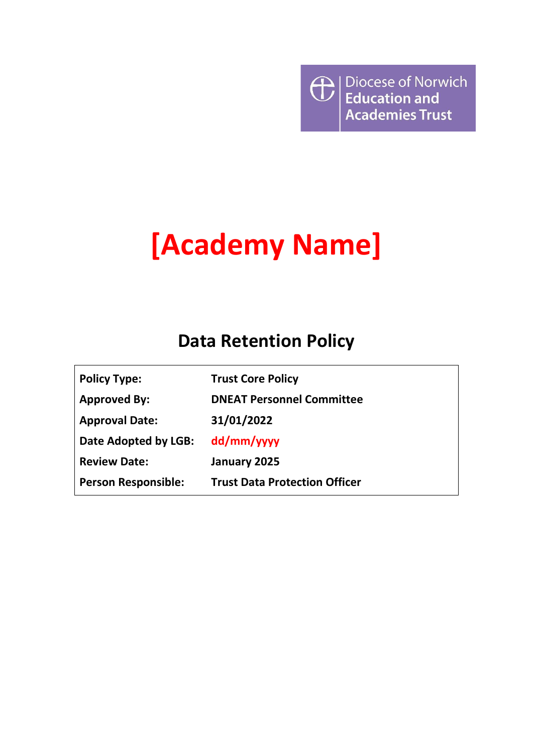$\bigoplus$  Diocese of Norwich **Academies Trust** 

# **[Academy Name]**

## **Data Retention Policy**

| <b>Policy Type:</b>        | <b>Trust Core Policy</b>             |
|----------------------------|--------------------------------------|
| <b>Approved By:</b>        | <b>DNEAT Personnel Committee</b>     |
| <b>Approval Date:</b>      | 31/01/2022                           |
| Date Adopted by LGB:       | dd/mm/yyyy                           |
| <b>Review Date:</b>        | January 2025                         |
| <b>Person Responsible:</b> | <b>Trust Data Protection Officer</b> |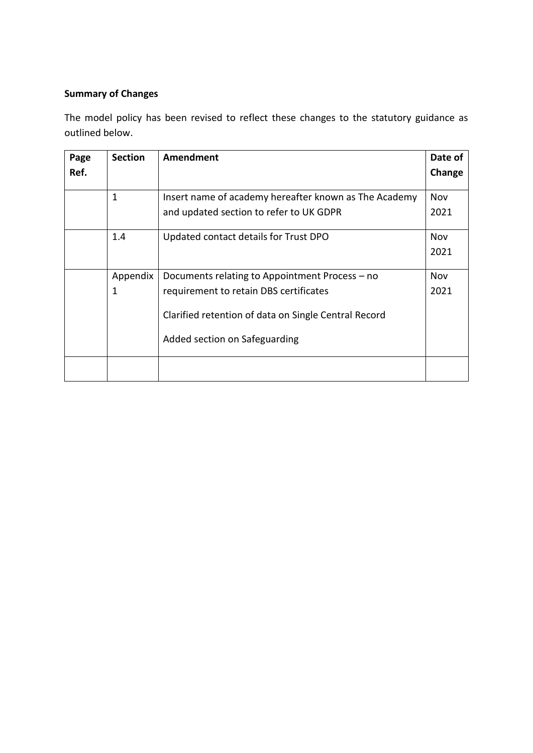### **Summary of Changes**

The model policy has been revised to reflect these changes to the statutory guidance as outlined below.

| Page<br>Ref. | <b>Section</b> | Amendment                                                                                                                                                                         | Date of<br>Change |
|--------------|----------------|-----------------------------------------------------------------------------------------------------------------------------------------------------------------------------------|-------------------|
|              | 1              | Insert name of academy hereafter known as The Academy<br>and updated section to refer to UK GDPR                                                                                  | Nov<br>2021       |
|              | 1.4            | Updated contact details for Trust DPO                                                                                                                                             | Nov<br>2021       |
|              | Appendix<br>1  | Documents relating to Appointment Process – no<br>requirement to retain DBS certificates<br>Clarified retention of data on Single Central Record<br>Added section on Safeguarding | Nov<br>2021       |
|              |                |                                                                                                                                                                                   |                   |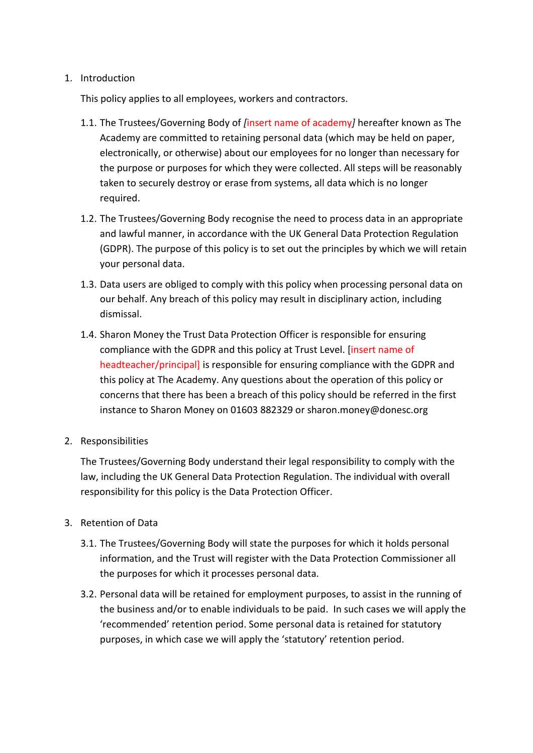#### 1. Introduction

This policy applies to all employees, workers and contractors.

- 1.1. The Trustees/Governing Body of *[*insert name of academy*]* hereafter known as The Academy are committed to retaining personal data (which may be held on paper, electronically, or otherwise) about our employees for no longer than necessary for the purpose or purposes for which they were collected. All steps will be reasonably taken to securely destroy or erase from systems, all data which is no longer required.
- 1.2. The Trustees/Governing Body recognise the need to process data in an appropriate and lawful manner, in accordance with the UK General Data Protection Regulation (GDPR). The purpose of this policy is to set out the principles by which we will retain your personal data.
- 1.3. Data users are obliged to comply with this policy when processing personal data on our behalf. Any breach of this policy may result in disciplinary action, including dismissal.
- 1.4. Sharon Money the Trust Data Protection Officer is responsible for ensuring compliance with the GDPR and this policy at Trust Level. [insert name of headteacher/principal] is responsible for ensuring compliance with the GDPR and this policy at The Academy. Any questions about the operation of this policy or concerns that there has been a breach of this policy should be referred in the first instance to Sharon Money on 01603 882329 or sharon.money@donesc.org
- 2. Responsibilities

The Trustees/Governing Body understand their legal responsibility to comply with the law, including the UK General Data Protection Regulation. The individual with overall responsibility for this policy is the Data Protection Officer.

#### 3. Retention of Data

- 3.1. The Trustees/Governing Body will state the purposes for which it holds personal information, and the Trust will register with the Data Protection Commissioner all the purposes for which it processes personal data.
- 3.2. Personal data will be retained for employment purposes, to assist in the running of the business and/or to enable individuals to be paid. In such cases we will apply the 'recommended' retention period. Some personal data is retained for statutory purposes, in which case we will apply the 'statutory' retention period.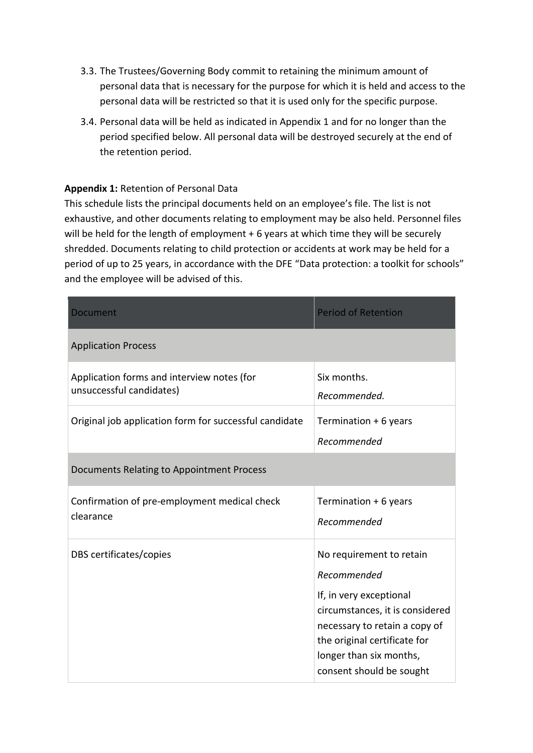- 3.3. The Trustees/Governing Body commit to retaining the minimum amount of personal data that is necessary for the purpose for which it is held and access to the personal data will be restricted so that it is used only for the specific purpose.
- 3.4. Personal data will be held as indicated in Appendix 1 and for no longer than the period specified below. All personal data will be destroyed securely at the end of the retention period.

#### **Appendix 1:** Retention of Personal Data

This schedule lists the principal documents held on an employee's file. The list is not exhaustive, and other documents relating to employment may be also held. Personnel files will be held for the length of employment + 6 years at which time they will be securely shredded. Documents relating to child protection or accidents at work may be held for a period of up to 25 years, in accordance with the DFE "Data protection: a toolkit for schools" and the employee will be advised of this.

| Document                                                               | <b>Period of Retention</b>                                                                                                                                                                                                    |
|------------------------------------------------------------------------|-------------------------------------------------------------------------------------------------------------------------------------------------------------------------------------------------------------------------------|
| <b>Application Process</b>                                             |                                                                                                                                                                                                                               |
| Application forms and interview notes (for<br>unsuccessful candidates) | Six months.<br>Recommended.                                                                                                                                                                                                   |
| Original job application form for successful candidate                 | Termination + 6 years<br>Recommended                                                                                                                                                                                          |
| Documents Relating to Appointment Process                              |                                                                                                                                                                                                                               |
| Confirmation of pre-employment medical check<br>clearance              | Termination + 6 years<br>Recommended                                                                                                                                                                                          |
| DBS certificates/copies                                                | No requirement to retain<br>Recommended<br>If, in very exceptional<br>circumstances, it is considered<br>necessary to retain a copy of<br>the original certificate for<br>longer than six months,<br>consent should be sought |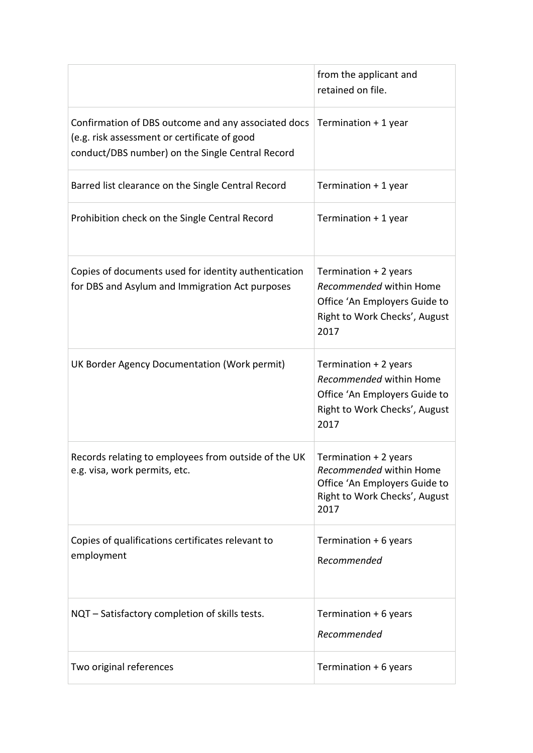|                                                                                                                                                         | from the applicant and<br>retained on file.                                                                                |
|---------------------------------------------------------------------------------------------------------------------------------------------------------|----------------------------------------------------------------------------------------------------------------------------|
| Confirmation of DBS outcome and any associated docs<br>(e.g. risk assessment or certificate of good<br>conduct/DBS number) on the Single Central Record | Termination + 1 year                                                                                                       |
| Barred list clearance on the Single Central Record                                                                                                      | Termination + 1 year                                                                                                       |
| Prohibition check on the Single Central Record                                                                                                          | Termination + 1 year                                                                                                       |
| Copies of documents used for identity authentication<br>for DBS and Asylum and Immigration Act purposes                                                 | Termination + 2 years<br>Recommended within Home<br>Office 'An Employers Guide to<br>Right to Work Checks', August<br>2017 |
| UK Border Agency Documentation (Work permit)                                                                                                            | Termination + 2 years<br>Recommended within Home<br>Office 'An Employers Guide to<br>Right to Work Checks', August<br>2017 |
| Records relating to employees from outside of the UK<br>e.g. visa, work permits, etc.                                                                   | Termination + 2 years<br>Recommended within Home<br>Office 'An Employers Guide to<br>Right to Work Checks', August<br>2017 |
| Copies of qualifications certificates relevant to<br>employment                                                                                         | Termination + 6 years<br>Recommended                                                                                       |
| NQT - Satisfactory completion of skills tests.                                                                                                          | Termination + 6 years<br>Recommended                                                                                       |
| Two original references                                                                                                                                 | Termination + 6 years                                                                                                      |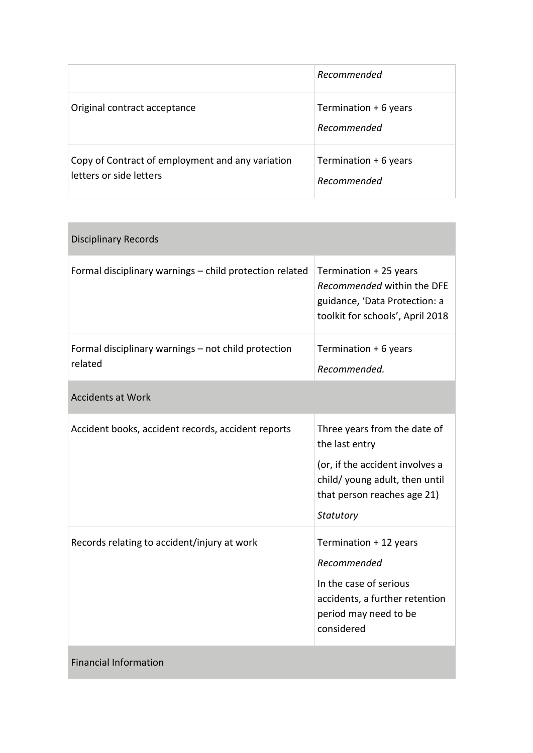|                                                                             | Recommended                          |
|-----------------------------------------------------------------------------|--------------------------------------|
| Original contract acceptance                                                | Termination + 6 years<br>Recommended |
| Copy of Contract of employment and any variation<br>letters or side letters | Termination + 6 years<br>Recommended |

| <b>Disciplinary Records</b>                                    |                                                                                                                                                                 |
|----------------------------------------------------------------|-----------------------------------------------------------------------------------------------------------------------------------------------------------------|
| Formal disciplinary warnings - child protection related        | Termination + 25 years<br>Recommended within the DFE<br>guidance, 'Data Protection: a<br>toolkit for schools', April 2018                                       |
| Formal disciplinary warnings - not child protection<br>related | Termination + 6 years<br>Recommended.                                                                                                                           |
| <b>Accidents at Work</b>                                       |                                                                                                                                                                 |
| Accident books, accident records, accident reports             | Three years from the date of<br>the last entry<br>(or, if the accident involves a<br>child/ young adult, then until<br>that person reaches age 21)<br>Statutory |
| Records relating to accident/injury at work                    | Termination + 12 years<br>Recommended<br>In the case of serious<br>accidents, a further retention<br>period may need to be<br>considered                        |
| <b>Financial Information</b>                                   |                                                                                                                                                                 |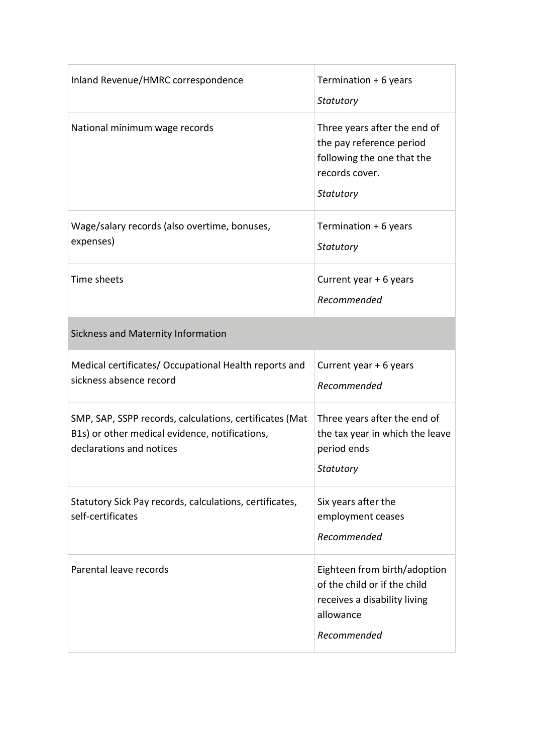| Inland Revenue/HMRC correspondence                                                                                                    | Termination + 6 years<br>Statutory                                                                                       |
|---------------------------------------------------------------------------------------------------------------------------------------|--------------------------------------------------------------------------------------------------------------------------|
| National minimum wage records                                                                                                         | Three years after the end of<br>the pay reference period<br>following the one that the<br>records cover.<br>Statutory    |
| Wage/salary records (also overtime, bonuses,<br>expenses)                                                                             | Termination + 6 years<br>Statutory                                                                                       |
| Time sheets                                                                                                                           | Current year + 6 years<br>Recommended                                                                                    |
| Sickness and Maternity Information                                                                                                    |                                                                                                                          |
| Medical certificates/ Occupational Health reports and<br>sickness absence record                                                      | Current year + 6 years<br>Recommended                                                                                    |
| SMP, SAP, SSPP records, calculations, certificates (Mat<br>B1s) or other medical evidence, notifications,<br>declarations and notices | Three years after the end of<br>the tax year in which the leave<br>period ends<br>Statutory                              |
| Statutory Sick Pay records, calculations, certificates,<br>self-certificates                                                          | Six years after the<br>employment ceases<br>Recommended                                                                  |
| Parental leave records                                                                                                                | Eighteen from birth/adoption<br>of the child or if the child<br>receives a disability living<br>allowance<br>Recommended |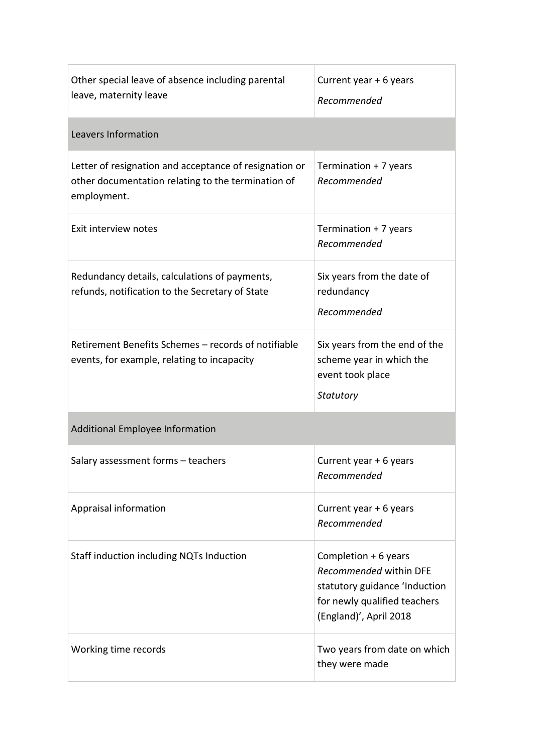| Other special leave of absence including parental<br>leave, maternity leave                                                 | Current year + 6 years<br>Recommended                                                                                                      |
|-----------------------------------------------------------------------------------------------------------------------------|--------------------------------------------------------------------------------------------------------------------------------------------|
| Leavers Information                                                                                                         |                                                                                                                                            |
| Letter of resignation and acceptance of resignation or<br>other documentation relating to the termination of<br>employment. | Termination + 7 years<br>Recommended                                                                                                       |
| Exit interview notes                                                                                                        | Termination + 7 years<br>Recommended                                                                                                       |
| Redundancy details, calculations of payments,<br>refunds, notification to the Secretary of State                            | Six years from the date of<br>redundancy<br>Recommended                                                                                    |
| Retirement Benefits Schemes - records of notifiable<br>events, for example, relating to incapacity                          | Six years from the end of the<br>scheme year in which the<br>event took place<br>Statutory                                                 |
| Additional Employee Information                                                                                             |                                                                                                                                            |
| Salary assessment forms - teachers                                                                                          | Current year + 6 years<br>Recommended                                                                                                      |
| Appraisal information                                                                                                       | Current year + 6 years<br>Recommended                                                                                                      |
| Staff induction including NQTs Induction                                                                                    | Completion $+6$ years<br>Recommended within DFE<br>statutory guidance 'Induction<br>for newly qualified teachers<br>(England)', April 2018 |
| Working time records                                                                                                        | Two years from date on which<br>they were made                                                                                             |